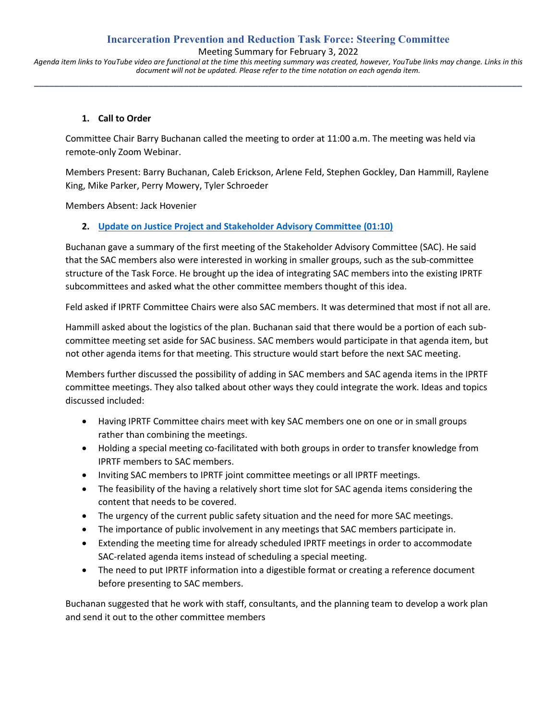#### **Incarceration Prevention and Reduction Task Force: Steering Committee**

Meeting Summary for February 3, 2022

*Agenda item links to YouTube video are functional at the time this meeting summary was created, however, YouTube links may change. Links in this document will not be updated. Please refer to the time notation on each agenda item.* **\_\_\_\_\_\_\_\_\_\_\_\_\_\_\_\_\_\_\_\_\_\_\_\_\_\_\_\_\_\_\_\_\_\_\_\_\_\_\_\_\_\_\_\_\_\_\_\_\_\_\_\_\_\_\_\_\_\_\_\_\_\_\_\_\_\_\_\_\_\_\_\_\_\_\_\_\_\_\_\_\_\_\_\_\_\_\_\_\_\_\_\_\_\_\_\_\_\_**

#### **1. Call to Order**

Committee Chair Barry Buchanan called the meeting to order at 11:00 a.m. The meeting was held via remote-only Zoom Webinar.

Members Present: Barry Buchanan, Caleb Erickson, Arlene Feld, Stephen Gockley, Dan Hammill, Raylene King, Mike Parker, Perry Mowery, Tyler Schroeder

Members Absent: Jack Hovenier

#### **2. [Update on Justice Project and Stakeholder Advisory Committee](https://www.youtube.com/watch?v=BHgHnOzN1r8&t=70s) (01:10)**

Buchanan gave a summary of the first meeting of the Stakeholder Advisory Committee (SAC). He said that the SAC members also were interested in working in smaller groups, such as the sub-committee structure of the Task Force. He brought up the idea of integrating SAC members into the existing IPRTF subcommittees and asked what the other committee members thought of this idea.

Feld asked if IPRTF Committee Chairs were also SAC members. It was determined that most if not all are.

Hammill asked about the logistics of the plan. Buchanan said that there would be a portion of each subcommittee meeting set aside for SAC business. SAC members would participate in that agenda item, but not other agenda items for that meeting. This structure would start before the next SAC meeting.

Members further discussed the possibility of adding in SAC members and SAC agenda items in the IPRTF committee meetings. They also talked about other ways they could integrate the work. Ideas and topics discussed included:

- Having IPRTF Committee chairs meet with key SAC members one on one or in small groups rather than combining the meetings.
- Holding a special meeting co-facilitated with both groups in order to transfer knowledge from IPRTF members to SAC members.
- Inviting SAC members to IPRTF joint committee meetings or all IPRTF meetings.
- The feasibility of the having a relatively short time slot for SAC agenda items considering the content that needs to be covered.
- The urgency of the current public safety situation and the need for more SAC meetings.
- The importance of public involvement in any meetings that SAC members participate in.
- Extending the meeting time for already scheduled IPRTF meetings in order to accommodate SAC-related agenda items instead of scheduling a special meeting.
- The need to put IPRTF information into a digestible format or creating a reference document before presenting to SAC members.

Buchanan suggested that he work with staff, consultants, and the planning team to develop a work plan and send it out to the other committee members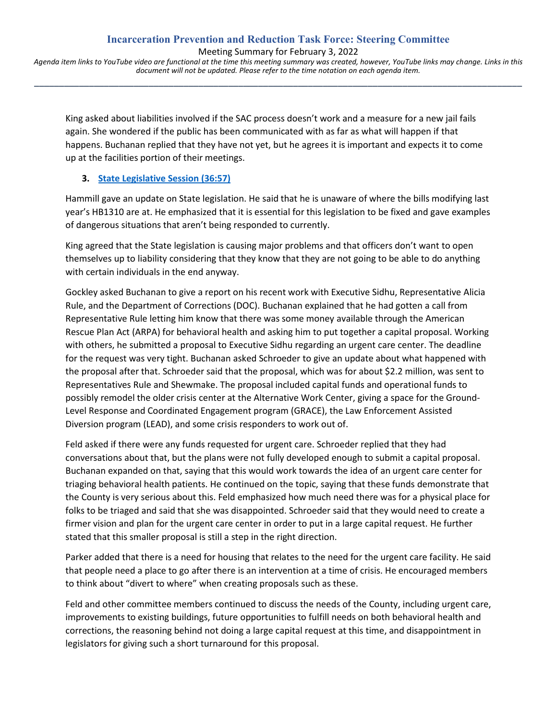**\_\_\_\_\_\_\_\_\_\_\_\_\_\_\_\_\_\_\_\_\_\_\_\_\_\_\_\_\_\_\_\_\_\_\_\_\_\_\_\_\_\_\_\_\_\_\_\_\_\_\_\_\_\_\_\_\_\_\_\_\_\_\_\_\_\_\_\_\_\_\_\_\_\_\_\_\_\_\_\_\_\_\_\_\_\_\_\_\_\_\_\_\_\_\_\_\_\_**

King asked about liabilities involved if the SAC process doesn't work and a measure for a new jail fails again. She wondered if the public has been communicated with as far as what will happen if that happens. Buchanan replied that they have not yet, but he agrees it is important and expects it to come up at the facilities portion of their meetings.

# **3. [State Legislative Session](https://www.youtube.com/watch?v=BHgHnOzN1r8&t=2217s) (36:57)**

Hammill gave an update on State legislation. He said that he is unaware of where the bills modifying last year's HB1310 are at. He emphasized that it is essential for this legislation to be fixed and gave examples of dangerous situations that aren't being responded to currently.

King agreed that the State legislation is causing major problems and that officers don't want to open themselves up to liability considering that they know that they are not going to be able to do anything with certain individuals in the end anyway.

Gockley asked Buchanan to give a report on his recent work with Executive Sidhu, Representative Alicia Rule, and the Department of Corrections (DOC). Buchanan explained that he had gotten a call from Representative Rule letting him know that there was some money available through the American Rescue Plan Act (ARPA) for behavioral health and asking him to put together a capital proposal. Working with others, he submitted a proposal to Executive Sidhu regarding an urgent care center. The deadline for the request was very tight. Buchanan asked Schroeder to give an update about what happened with the proposal after that. Schroeder said that the proposal, which was for about \$2.2 million, was sent to Representatives Rule and Shewmake. The proposal included capital funds and operational funds to possibly remodel the older crisis center at the Alternative Work Center, giving a space for the Ground-Level Response and Coordinated Engagement program (GRACE), the Law Enforcement Assisted Diversion program (LEAD), and some crisis responders to work out of.

Feld asked if there were any funds requested for urgent care. Schroeder replied that they had conversations about that, but the plans were not fully developed enough to submit a capital proposal. Buchanan expanded on that, saying that this would work towards the idea of an urgent care center for triaging behavioral health patients. He continued on the topic, saying that these funds demonstrate that the County is very serious about this. Feld emphasized how much need there was for a physical place for folks to be triaged and said that she was disappointed. Schroeder said that they would need to create a firmer vision and plan for the urgent care center in order to put in a large capital request. He further stated that this smaller proposal is still a step in the right direction.

Parker added that there is a need for housing that relates to the need for the urgent care facility. He said that people need a place to go after there is an intervention at a time of crisis. He encouraged members to think about "divert to where" when creating proposals such as these.

Feld and other committee members continued to discuss the needs of the County, including urgent care, improvements to existing buildings, future opportunities to fulfill needs on both behavioral health and corrections, the reasoning behind not doing a large capital request at this time, and disappointment in legislators for giving such a short turnaround for this proposal.